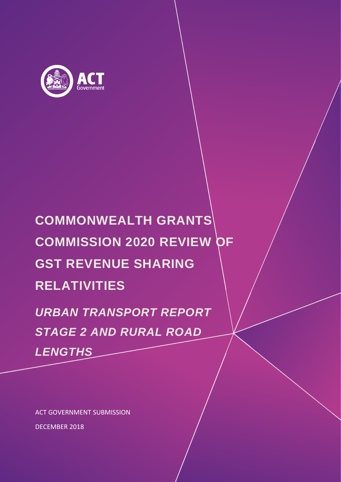

# **COMMONWEALTH GRANTS COMMISSION 2020 REVIEW OF GST REVENUE SHARING RELATIVITIES**

**ACT GOVERNMENT RESPONSE TO URBAN TRANSPORT REPORT STAGE 2 AND RURAL** 

*URBAN TRANSPORT REPORT STAGE 2 AND RURAL ROAD* 

For questions and enquires regarding this ACT Government response please contact Douglas Miller on (02) 6205 4079 1

*LENGTHS*

ACT GOVERNMENT SUBMISSION

DECEMBER 2018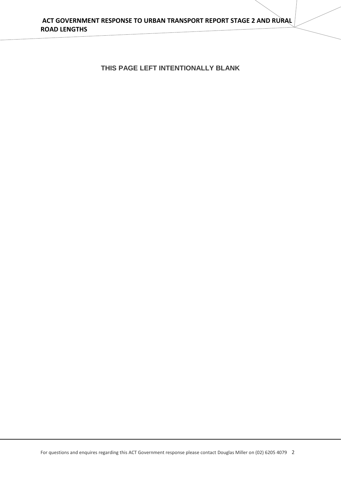**THIS PAGE LEFT INTENTIONALLY BLANK**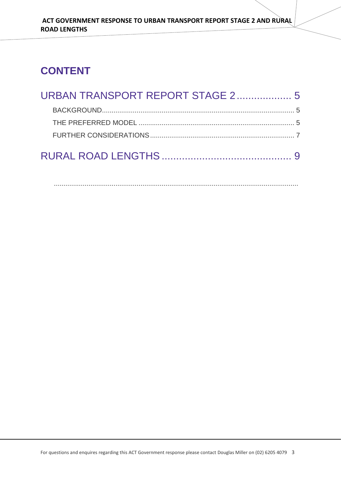### **CONTENT**

...............................................................................................................................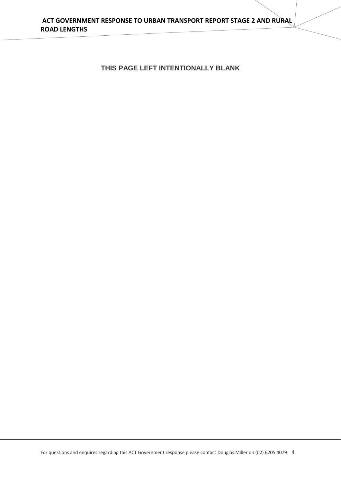**THIS PAGE LEFT INTENTIONALLY BLANK**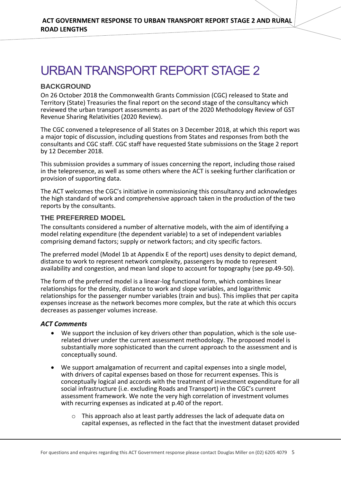## <span id="page-4-0"></span>URBAN TRANSPORT REPORT STAGE 2

#### <span id="page-4-1"></span>**BACKGROUND**

On 26 October 2018 the Commonwealth Grants Commission (CGC) released to State and Territory (State) Treasuries the final report on the second stage of the consultancy which reviewed the urban transport assessments as part of the 2020 Methodology Review of GST Revenue Sharing Relativities (2020 Review).

The CGC convened a telepresence of all States on 3 December 2018, at which this report was a major topic of discussion, including questions from States and responses from both the consultants and CGC staff. CGC staff have requested State submissions on the Stage 2 report by 12 December 2018.

This submission provides a summary of issues concerning the report, including those raised in the telepresence, as well as some others where the ACT is seeking further clarification or provision of supporting data.

The ACT welcomes the CGC's initiative in commissioning this consultancy and acknowledges the high standard of work and comprehensive approach taken in the production of the two reports by the consultants.

#### <span id="page-4-2"></span>**THE PREFERRED MODEL**

The consultants considered a number of alternative models, with the aim of identifying a model relating expenditure (the dependent variable) to a set of independent variables comprising demand factors; supply or network factors; and city specific factors.

The preferred model (Model 1b at Appendix E of the report) uses density to depict demand, distance to work to represent network complexity, passengers by mode to represent availability and congestion, and mean land slope to account for topography (see pp.49-50).

The form of the preferred model is a linear-log functional form, which combines linear relationships for the density, distance to work and slope variables, and logarithmic relationships for the passenger number variables (train and bus). This implies that per capita expenses increase as the network becomes more complex, but the rate at which this occurs decreases as passenger volumes increase.

#### *ACT Comments*

- We support the inclusion of key drivers other than population, which is the sole userelated driver under the current assessment methodology. The proposed model is substantially more sophisticated than the current approach to the assessment and is conceptually sound.
- We support amalgamation of recurrent and capital expenses into a single model, with drivers of capital expenses based on those for recurrent expenses. This is conceptually logical and accords with the treatment of investment expenditure for all social infrastructure (i.e. excluding Roads and Transport) in the CGC's current assessment framework. We note the very high correlation of investment volumes with recurring expenses as indicated at p.40 of the report.
	- o This approach also at least partly addresses the lack of adequate data on capital expenses, as reflected in the fact that the investment dataset provided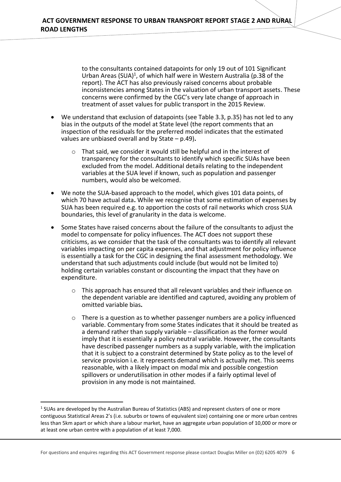to the consultants contained datapoints for only 19 out of 101 Significant Urban Areas (SUA)<sup>1</sup>, of which half were in Western Australia (p.38 of the report). The ACT has also previously raised concerns about probable inconsistencies among States in the valuation of urban transport assets. These concerns were confirmed by the CGC's very late change of approach in treatment of asset values for public transport in the 2015 Review.

- We understand that exclusion of datapoints (see Table 3.3, p.35) has not led to any bias in the outputs of the model at State level (the report comments that an inspection of the residuals for the preferred model indicates that the estimated values are unbiased overall and by State – p.49)**.**
	- o That said, we consider it would still be helpful and in the interest of transparency for the consultants to identify which specific SUAs have been excluded from the model. Additional details relating to the independent variables at the SUA level if known, such as population and passenger numbers, would also be welcomed.
- We note the SUA-based approach to the model, which gives 101 data points, of which 70 have actual data**.** While we recognise that some estimation of expenses by SUA has been required e.g. to apportion the costs of rail networks which cross SUA boundaries, this level of granularity in the data is welcome.
- Some States have raised concerns about the failure of the consultants to adjust the model to compensate for policy influences. The ACT does not support these criticisms, as we consider that the task of the consultants was to identify all relevant variables impacting on per capita expenses, and that adjustment for policy influence is essentially a task for the CGC in designing the final assessment methodology. We understand that such adjustments could include (but would not be limited to) holding certain variables constant or discounting the impact that they have on expenditure.
	- $\circ$  This approach has ensured that all relevant variables and their influence on the dependent variable are identified and captured, avoiding any problem of omitted variable bias**.**
	- o There is a question as to whether passenger numbers are a policy influenced variable. Commentary from some States indicates that it should be treated as a demand rather than supply variable – classification as the former would imply that it is essentially a policy neutral variable. However, the consultants have described passenger numbers as a supply variable, with the implication that it is subject to a constraint determined by State policy as to the level of service provision i.e. it represents demand which is actually met. This seems reasonable, with a likely impact on modal mix and possible congestion spillovers or underutilisation in other modes if a fairly optimal level of provision in any mode is not maintained.

 $\overline{a}$ 

 $<sup>1</sup>$  SUAs are developed by the Australian Bureau of Statistics (ABS) and represent clusters of one or more</sup> contiguous Statistical Areas 2's (i.e. suburbs or towns of equivalent size) containing one or more urban centres less than 5km apart or which share a labour market, have an aggregate urban population of 10,000 or more or at least one urban centre with a population of at least 7,000.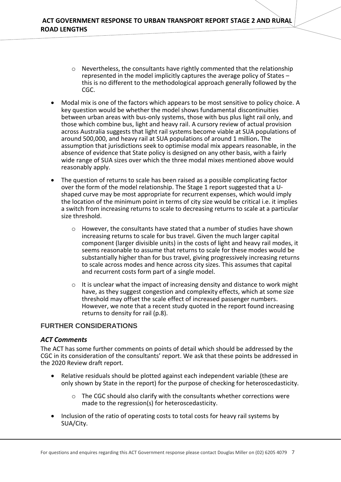- $\circ$  Nevertheless, the consultants have rightly commented that the relationship represented in the model implicitly captures the average policy of States – this is no different to the methodological approach generally followed by the CGC.
- Modal mix is one of the factors which appears to be most sensitive to policy choice. A key question would be whether the model shows fundamental discontinuities between urban areas with bus-only systems, those with bus plus light rail only, and those which combine bus, light and heavy rail. A cursory review of actual provision across Australia suggests that light rail systems become viable at SUA populations of around 500,000, and heavy rail at SUA populations of around 1 million**.** The assumption that jurisdictions seek to optimise modal mix appears reasonable, in the absence of evidence that State policy is designed on any other basis, with a fairly wide range of SUA sizes over which the three modal mixes mentioned above would reasonably apply.
- The question of returns to scale has been raised as a possible complicating factor over the form of the model relationship. The Stage 1 report suggested that a Ushaped curve may be most appropriate for recurrent expenses, which would imply the location of the minimum point in terms of city size would be critical i.e. it implies a switch from increasing returns to scale to decreasing returns to scale at a particular size threshold.
	- $\circ$  However, the consultants have stated that a number of studies have shown increasing returns to scale for bus travel. Given the much larger capital component (larger divisible units) in the costs of light and heavy rail modes, it seems reasonable to assume that returns to scale for these modes would be substantially higher than for bus travel, giving progressively increasing returns to scale across modes and hence across city sizes. This assumes that capital and recurrent costs form part of a single model.
	- o It is unclear what the impact of increasing density and distance to work might have, as they suggest congestion and complexity effects, which at some size threshold may offset the scale effect of increased passenger numbers. However, we note that a recent study quoted in the report found increasing returns to density for rail (p.8).

#### <span id="page-6-0"></span>**FURTHER CONSIDERATIONS**

#### *ACT Comments*

The ACT has some further comments on points of detail which should be addressed by the CGC in its consideration of the consultants' report. We ask that these points be addressed in the 2020 Review draft report.

- Relative residuals should be plotted against each independent variable (these are only shown by State in the report) for the purpose of checking for heteroscedasticity.
	- o The CGC should also clarify with the consultants whether corrections were made to the regression(s) for heteroscedasticity.
- Inclusion of the ratio of operating costs to total costs for heavy rail systems by SUA/City.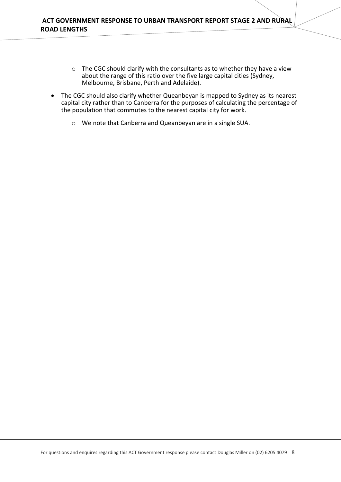- o The CGC should clarify with the consultants as to whether they have a view about the range of this ratio over the five large capital cities (Sydney, Melbourne, Brisbane, Perth and Adelaide).
- The CGC should also clarify whether Queanbeyan is mapped to Sydney as its nearest capital city rather than to Canberra for the purposes of calculating the percentage of the population that commutes to the nearest capital city for work.
	- o We note that Canberra and Queanbeyan are in a single SUA.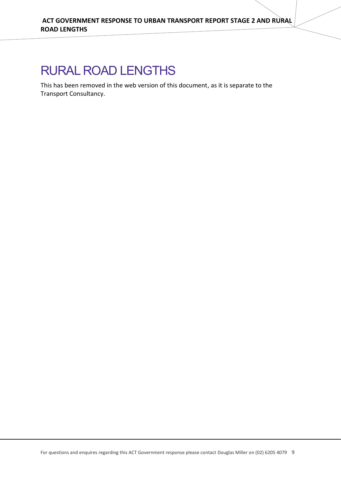### <span id="page-8-0"></span>RURAL ROAD LENGTHS

This has been removed in the web version of this document, as it is separate to the Transport Consultancy.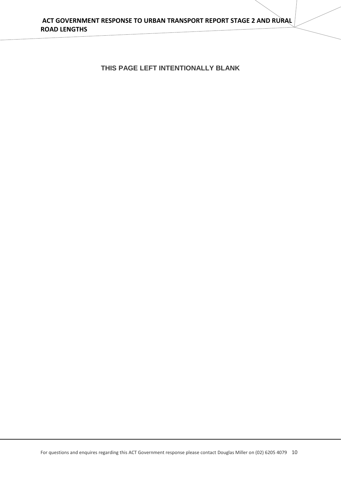**THIS PAGE LEFT INTENTIONALLY BLANK**